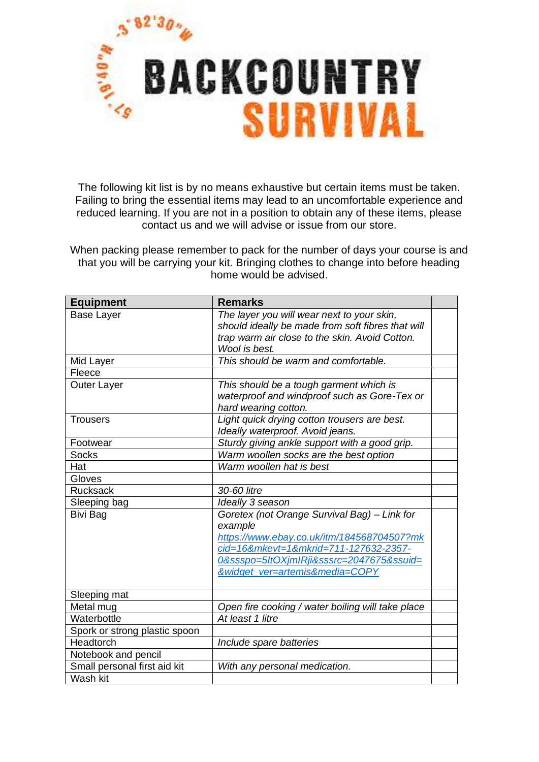

The following kit list is by no means exhaustive but certain items must be taken. Failing to bring the essential items may lead to an uncomfortable experience and reduced learning. If you are not in a position to obtain any of these items, please contact us and we will advise or issue from our store.

When packing please remember to pack for the number of days your course is and that you will be carrying your kit. Bringing clothes to change into before heading home would be advised.

| <b>Equipment</b>              | <b>Remarks</b>                                    |  |
|-------------------------------|---------------------------------------------------|--|
| <b>Base Layer</b>             | The layer you will wear next to your skin,        |  |
|                               | should ideally be made from soft fibres that will |  |
|                               | trap warm air close to the skin. Avoid Cotton.    |  |
|                               | Wool is best.                                     |  |
| Mid Layer                     | This should be warm and comfortable.              |  |
| Fleece                        |                                                   |  |
| <b>Outer Layer</b>            | This should be a tough garment which is           |  |
|                               | waterproof and windproof such as Gore-Tex or      |  |
|                               | hard wearing cotton.                              |  |
| <b>Trousers</b>               | Light quick drying cotton trousers are best.      |  |
|                               | Ideally waterproof. Avoid jeans.                  |  |
| Footwear                      | Sturdy giving ankle support with a good grip.     |  |
| <b>Socks</b>                  | Warm woollen socks are the best option            |  |
| Hat                           | Warm woollen hat is best                          |  |
| Gloves                        |                                                   |  |
| <b>Rucksack</b>               | 30-60 litre                                       |  |
| Sleeping bag                  | Ideally 3 season                                  |  |
| Bivi Bag                      | Goretex (not Orange Survival Bag) - Link for      |  |
|                               | example                                           |  |
|                               | https://www.ebay.co.uk/itm/184568704507?mk        |  |
|                               | cid=16&mkevt=1&mkrid=711-127632-2357-             |  |
|                               | 0&ssspo=5ltOXjmIRji&sssrc=2047675&ssuid=          |  |
|                               | &widget_ver=artemis&media=COPY                    |  |
|                               |                                                   |  |
| Sleeping mat                  |                                                   |  |
| Metal mug                     | Open fire cooking / water boiling will take place |  |
| Waterbottle                   | At least 1 litre                                  |  |
| Spork or strong plastic spoon |                                                   |  |
| Headtorch                     | Include spare batteries                           |  |
| Notebook and pencil           |                                                   |  |
| Small personal first aid kit  | With any personal medication.                     |  |
| Wash kit                      |                                                   |  |